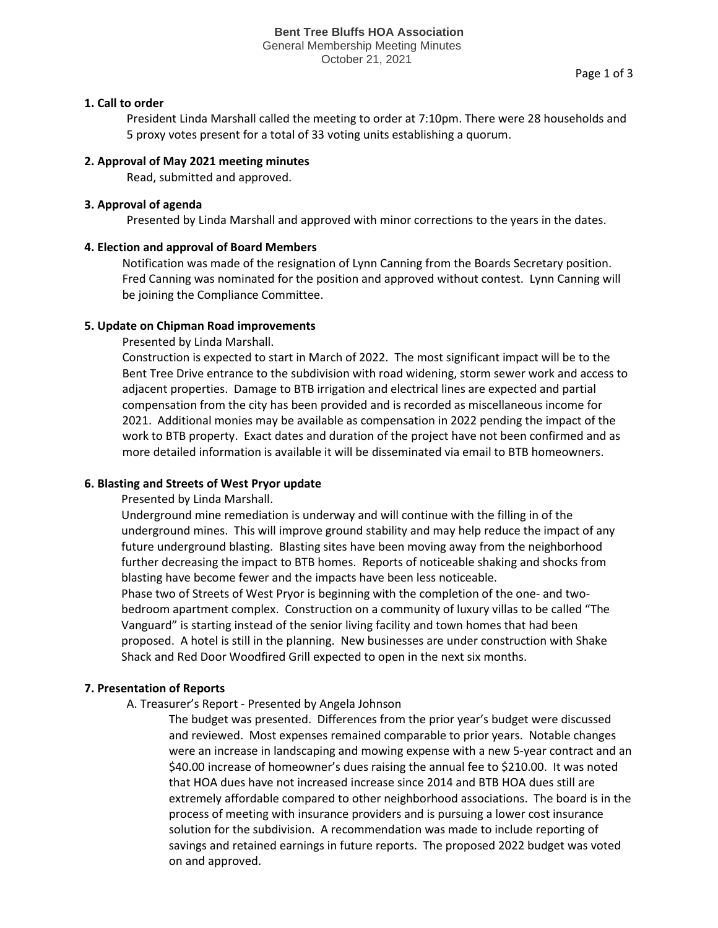October 21, 2021

### **1. Call to order**

President Linda Marshall called the meeting to order at 7:10pm. There were 28 households and 5 proxy votes present for a total of 33 voting units establishing a quorum.

### **2. Approval of May 2021 meeting minutes**

Read, submitted and approved.

## **3. Approval of agenda**

Presented by Linda Marshall and approved with minor corrections to the years in the dates.

## **4. Election and approval of Board Members**

Notification was made of the resignation of Lynn Canning from the Boards Secretary position. Fred Canning was nominated for the position and approved without contest. Lynn Canning will be joining the Compliance Committee.

## **5. Update on Chipman Road improvements**

Presented by Linda Marshall.

Construction is expected to start in March of 2022. The most significant impact will be to the Bent Tree Drive entrance to the subdivision with road widening, storm sewer work and access to adjacent properties. Damage to BTB irrigation and electrical lines are expected and partial compensation from the city has been provided and is recorded as miscellaneous income for 2021. Additional monies may be available as compensation in 2022 pending the impact of the work to BTB property. Exact dates and duration of the project have not been confirmed and as more detailed information is available it will be disseminated via email to BTB homeowners.

# **6. Blasting and Streets of West Pryor update**

Presented by Linda Marshall.

Underground mine remediation is underway and will continue with the filling in of the underground mines. This will improve ground stability and may help reduce the impact of any future underground blasting. Blasting sites have been moving away from the neighborhood further decreasing the impact to BTB homes. Reports of noticeable shaking and shocks from blasting have become fewer and the impacts have been less noticeable. Phase two of Streets of West Pryor is beginning with the completion of the one- and two-

bedroom apartment complex. Construction on a community of luxury villas to be called "The Vanguard" is starting instead of the senior living facility and town homes that had been proposed. A hotel is still in the planning. New businesses are under construction with Shake Shack and Red Door Woodfired Grill expected to open in the next six months.

# **7. Presentation of Reports**

A. Treasurer's Report - Presented by Angela Johnson

The budget was presented. Differences from the prior year's budget were discussed and reviewed. Most expenses remained comparable to prior years. Notable changes were an increase in landscaping and mowing expense with a new 5-year contract and an \$40.00 increase of homeowner's dues raising the annual fee to \$210.00. It was noted that HOA dues have not increased increase since 2014 and BTB HOA dues still are extremely affordable compared to other neighborhood associations. The board is in the process of meeting with insurance providers and is pursuing a lower cost insurance solution for the subdivision. A recommendation was made to include reporting of savings and retained earnings in future reports. The proposed 2022 budget was voted on and approved.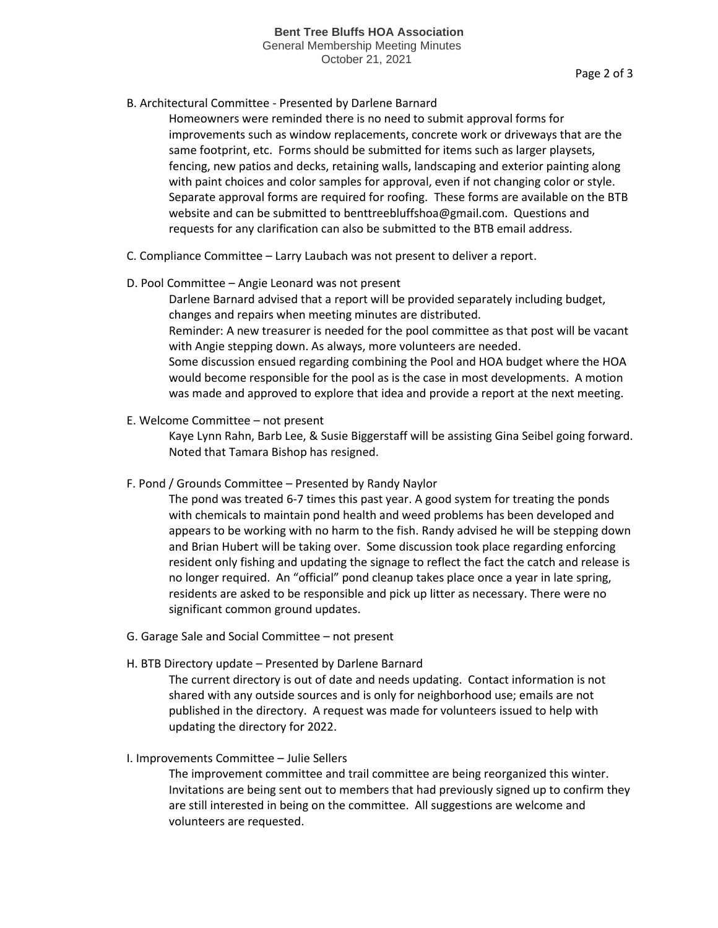## B. Architectural Committee - Presented by Darlene Barnard

Homeowners were reminded there is no need to submit approval forms for improvements such as window replacements, concrete work or driveways that are the same footprint, etc. Forms should be submitted for items such as larger playsets, fencing, new patios and decks, retaining walls, landscaping and exterior painting along with paint choices and color samples for approval, even if not changing color or style. Separate approval forms are required for roofing. These forms are available on the BTB website and can be submitted to benttreebluffshoa@gmail.com. Questions and requests for any clarification can also be submitted to the BTB email address.

C. Compliance Committee – Larry Laubach was not present to deliver a report.

### D. Pool Committee – Angie Leonard was not present

Darlene Barnard advised that a report will be provided separately including budget, changes and repairs when meeting minutes are distributed.

Reminder: A new treasurer is needed for the pool committee as that post will be vacant with Angie stepping down. As always, more volunteers are needed.

Some discussion ensued regarding combining the Pool and HOA budget where the HOA would become responsible for the pool as is the case in most developments. A motion was made and approved to explore that idea and provide a report at the next meeting.

E. Welcome Committee – not present

Kaye Lynn Rahn, Barb Lee, & Susie Biggerstaff will be assisting Gina Seibel going forward. Noted that Tamara Bishop has resigned.

F. Pond / Grounds Committee – Presented by Randy Naylor

The pond was treated 6-7 times this past year. A good system for treating the ponds with chemicals to maintain pond health and weed problems has been developed and appears to be working with no harm to the fish. Randy advised he will be stepping down and Brian Hubert will be taking over. Some discussion took place regarding enforcing resident only fishing and updating the signage to reflect the fact the catch and release is no longer required. An "official" pond cleanup takes place once a year in late spring, residents are asked to be responsible and pick up litter as necessary. There were no significant common ground updates.

- G. Garage Sale and Social Committee not present
- H. BTB Directory update Presented by Darlene Barnard

The current directory is out of date and needs updating. Contact information is not shared with any outside sources and is only for neighborhood use; emails are not published in the directory. A request was made for volunteers issued to help with updating the directory for 2022.

### I. Improvements Committee – Julie Sellers

The improvement committee and trail committee are being reorganized this winter. Invitations are being sent out to members that had previously signed up to confirm they are still interested in being on the committee. All suggestions are welcome and volunteers are requested.